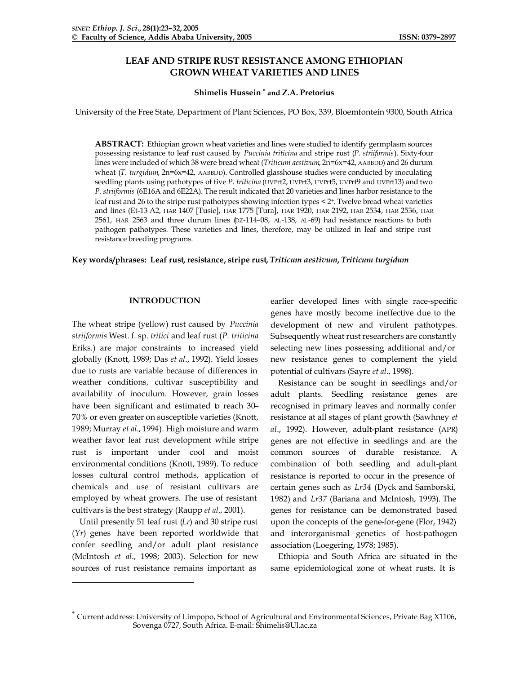# **LEAF AND STRIPE RUST RESISTANCE AMONG ETHIOPIAN GROWN WHEAT VARIETIES AND LINES**

# **Shimelis Hussein \* and Z.A. Pretorius**

University of the Free State, Department of Plant Sciences, PO Box, 339, Bloemfontein 9300, South Africa

**ABSTRACT:** Ethiopian grown wheat varieties and lines were studied to identify germplasm sources possessing resistance to leaf rust caused by *Puccinia triticina* and stripe rust (*P. striiformis*). Sixty-four lines were included of which 38 were bread wheat (*Triticum aestivum*, 2n=6x=42, AABBDD) and 26 durum wheat (*T. turgidum*, 2n=6x=42, AABBDD). Controlled glasshouse studies were conducted by inoculating seedling plants using pathotypes of five *P. triticina* (UVPrt2, UVPrt3, UVPrt5, UVPrt9 and UVPrt13) and two *P. striiformis* (6E16A and 6E22A). The result indicated that 20 varieties and lines harbor resistance to the leaf rust and 26 to the stripe rust pathotypes showing infection types < 2+. Twelve bread wheat varieties and lines (Et-13 A2, HAR 1407 [Tusie], HAR 1775 [Tura], HAR 1920, HAR 2192, HAR 2534, HAR 2536, HAR 2561, HAR 2563 and three durum lines (DZ-114-08, AL-138, AL-69) had resistance reactions to both pathogen pathotypes. These varieties and lines, therefore, may be utilized in leaf and stripe rust resistance breeding programs.

# **Key words/phrases: Leaf rust, resistance, stripe rust,** *Triticum aestivum***,** *Triticum turgidum*

# **INTRODUCTION**

The wheat stripe (yellow) rust caused by *Puccinia striiformis* West. f. sp*. tritici* and leaf rust (*P. triticina*  Eriks.) are major constraints to increased yield globally (Knott, 1989; Das *et al*., 1992). Yield losses due to rusts are variable because of differences in weather conditions, cultivar susceptibility and availability of inoculum. However, grain losses have been significant and estimated to reach 30-70% or even greater on susceptible varieties (Knott, 1989; Murray *et al*., 1994). High moisture and warm weather favor leaf rust development while stripe rust is important under cool and moist environmental conditions (Knott, 1989). To reduce losses cultural control methods, application of chemicals and use of resistant cultivars are employed by wheat growers. The use of resistant cultivars is the best strategy (Raupp *et al*., 2001).

Until presently 51 leaf rust (*Lr*) and 30 stripe rust (*Yr*) genes have been reported worldwide that confer seedling and/or adult plant resistance (McIntosh *et al*., 1998; 2003). Selection for new sources of rust resistance remains important as

l

earlier developed lines with single race-specific genes have mostly become ineffective due to the development of new and virulent pathotypes. Subsequently wheat rust researchers are constantly selecting new lines possessing additional and/or new resistance genes to complement the yield potential of cultivars (Sayre *et al*., 1998).

Resistance can be sought in seedlings and/or adult plants. Seedling resistance genes are recognised in primary leaves and normally confer resistance at all stages of plant growth (Sawhney *et al*., 1992). However, adult-plant resistance (APR) genes are not effective in seedlings and are the common sources of durable resistance. A combination of both seedling and adult-plant resistance is reported to occur in the presence of certain genes such as *Lr34* (Dyck and Samborski, 1982) and *Lr37* (Bariana and McIntosh, 1993). The genes for resistance can be demonstrated based upon the concepts of the gene-for-gene (Flor, 1942) and interorganismal genetics of host-pathogen association (Loegering, 1978; 1985).

Ethiopia and South Africa are situated in the same epidemiological zone of wheat rusts. It is

<sup>\*</sup> Current address: University of Limpopo, School of Agricultural and Environmental Sciences, Private Bag X1106, Sovenga 0727, South Africa. E-mail: Shimelis@Ul.ac.za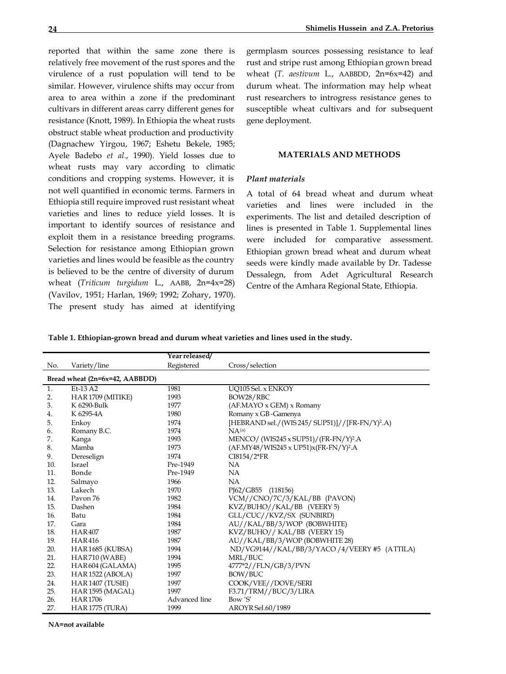reported that within the same zone there is relatively free movement of the rust spores and the virulence of a rust population will tend to be similar. However, virulence shifts may occur from area to area within a zone if the predominant cultivars in different areas carry different genes for resistance (Knott, 1989). In Ethiopia the wheat rusts obstruct stable wheat production and productivity (Dagnachew Yirgou, 1967; Eshetu Bekele, 1985; Ayele Badebo *et al*., 1990). Yield losses due to wheat rusts may vary according to climatic conditions and cropping systems. However, it is not well quantified in economic terms. Farmers in Ethiopia still require improved rust resistant wheat varieties and lines to reduce yield losses. It is important to identify sources of resistance and exploit them in a resistance breeding programs. Selection for resistance among Ethiopian grown varieties and lines would be feasible as the country is believed to be the centre of diversity of durum wheat (*Triticum turgidum* L., AABB, 2n=4x=28) (Vavilov, 1951; Harlan, 1969; 1992; Zohary, 1970). The present study has aimed at identifying germplasm sources possessing resistance to leaf rust and stripe rust among Ethiopian grown bread wheat (*T. aestivum* L., AABBDD, 2n=6x=42) and durum wheat. The information may help wheat rust researchers to introgress resistance genes to susceptible wheat cultivars and for subsequent gene deployment.

## **MATERIALS AND METHODS**

# *Plant materials*

A total of 64 bread wheat and durum wheat varieties and lines were included in the experiments. The list and detailed description of lines is presented in Table 1. Supplemental lines were included for comparative assessment. Ethiopian grown bread wheat and durum wheat seeds were kindly made available by Dr. Tadesse Dessalegn, from Adet Agricultural Research Centre of the Amhara Regional State, Ethiopia.

**Table 1. Ethiopian-grown bread and durum wheat varieties and lines used in the study.**

|     |                                | Year released/ |                                                             |
|-----|--------------------------------|----------------|-------------------------------------------------------------|
| No. | Variety/line                   | Registered     | Cross/selection                                             |
|     | Bread wheat (2n=6x=42, AABBDD) |                |                                                             |
| 1.  | Et-13 A2                       | 1981           | UO105 Sel. x ENKOY                                          |
| 2.  | HAR1709 (MITIKE)               | 1993           | BOW28/RBC                                                   |
| 3.  | K 6290-Bulk                    | 1977           | (AF.MAYO x GEM) x Romany                                    |
| 4.  | K 6295-4A                      | 1980           | Romany x GB-Gamenya                                         |
| 5.  | Enkoy                          | 1974           | [HEBRAND sel./(WIS 245/ SUP51)]//[FR-FN/Y) <sup>2</sup> .A) |
| 6.  | Romany B.C.                    | 1974           | $NA^{(a)}$                                                  |
| 7.  | Kanga                          | 1993           | MENCO/(WIS245 x SUP51)/(FR-FN/Y) <sup>2</sup> .A            |
| 8.  | Mamba                          | 1973           | $(AF.MY48/WIS245 x UP51)x(FR-FN/Y)^2.A$                     |
| 9.  | Dereselign                     | 1974           | CI8154/2*FR                                                 |
| 10. | Israel                         | Pre-1949       | <b>NA</b>                                                   |
| 11. | Bonde                          | Pre-1949       | <b>NA</b>                                                   |
| 12. | Salmayo                        | 1966           | <b>NA</b>                                                   |
| 13. | Lakech                         | 1970           | PJ62/GB55 (118156)                                          |
| 14. | Payon 76                       | 1982           | VCM//CNO/7C/3/KAL/BB (PAVON)                                |
| 15. | Dashen                         | 1984           | KVZ/BUHO//KAL/BB (VEERY 5)                                  |
| 16. | Batu                           | 1984           | GLL/CUC//KVZ/SX (SUNBIRD)                                   |
| 17. | Gara                           | 1984           | AU//KAL/BB/3/WOP (BOBWHITE)                                 |
| 18. | <b>HAR407</b>                  | 1987           | KVZ/BUHO// KAL/BB (VEERY 15)                                |
| 19. | <b>HAR416</b>                  | 1987           | AU//KAL/BB/3/WOP (BOBWHITE 28)                              |
| 20. | HAR1685 (KUBSA)                | 1994           | ND/VG9144//KAL/BB/3/YACO/4/VEERY #5 (ATTILA)                |
| 21. | HAR710 (WABE)                  | 1994           | MRL/BUC                                                     |
| 22. | HAR604 (GALAMA)                | 1995           | 4777*2//FLN/GB/3/PVN                                        |
| 23. | HAR 1522 (ABOLA)               | 1997           | BOW/BUC                                                     |
| 24. | HAR1407 (TUSIE)                | 1997           | COOK/VEE//DOVE/SERI                                         |
| 25. | HAR 1595 (MAGAL)               | 1997           | F3.71/TRM//BUC/3/LIRA                                       |
| 26. | <b>HAR1706</b>                 | Advanced line  | Bow 'S'                                                     |
| 27. | <b>HAR 1775 (TURA)</b>         | 1999           | AROYR Sel.60/1989                                           |

**NA=not available**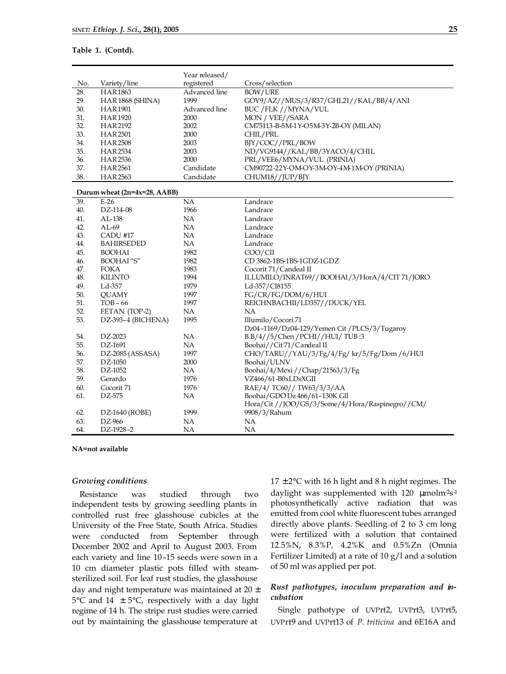## **Table 1. (Contd).**

|     |                              | Year released/ |                                                 |
|-----|------------------------------|----------------|-------------------------------------------------|
| No. | Variety/line                 | registered     | Cross/selection                                 |
| 28. | <b>HAR1863</b>               | Advanced line  | <b>BOW/URE</b>                                  |
| 29. | HAR1868 (SHINA)              | 1999           | GOV9/AZ//MUS/3/R37/GHL21//KAL/BB/4/ANI          |
| 30. | <b>HAR1901</b>               | Advanced line  | BUC /FLK //MYNA/VUL                             |
| 31. | <b>HAR1920</b>               | 2000           | MON / VEE / / SARA                              |
| 32. | <b>HAR2192</b>               | 2002           | CM75113-B-5M-1Y-O5M-3Y-2B-OY (MILAN)            |
| 33. | <b>HAR2501</b>               | 2000           | CHIL/PRL                                        |
| 34. | <b>HAR2508</b>               | 2003           | BJY/COC//PRL/BOW                                |
| 35. | <b>HAR2534</b>               | 2003           | ND/VG9144//KAL/BB/3YACO/4/CHIL                  |
| 36. | HAR2536                      | 2000           | PRL/VEE6/MYNA/VUL (PRINIA)                      |
| 37. | <b>HAR2561</b>               | Candidate      | CM90722-22Y-OM-OY-3M-OY-4M-1M-OY (PRINIA)       |
| 38. | <b>HAR2563</b>               | Candidate      | CHUM18//JUP/BJY                                 |
|     | Durum wheat (2n=4x=28, AABB) |                |                                                 |
| 39. | $E-26$                       | NA             | Landrace                                        |
| 40. | DZ-114-08                    | 1966           | Landrace                                        |
| 41. | AL-138                       | NA             | Landrace                                        |
| 42. | $AL-69$                      | NA             | Landrace                                        |
| 43. | CADU #17                     | NA             | Landrace                                        |
| 44. | <b>BAHIRSEDED</b>            | NA             | Landrace                                        |
| 45. | <b>BOOHAI</b>                | 1982           | COO/CII                                         |
| 46. | <b>BOOHAI</b> "S"            | 1982           | CD 3862-1BS-1BS-1GDZ-1GDZ                       |
| 47. | <b>FOKA</b>                  | 1983           | Cocorit 71/Candeal II                           |
| 48. | <b>KILINTO</b>               | 1994           | ILLUMILO/INRAT69//BOOHAI/3/HorA/4/CIT 71/JORO   |
| 49. | Ld-357                       | 1979           | Ld-357/CI8155                                   |
| 50. | <b>OUAMY</b>                 | 1997           | FG/CR/FG/DOM/6/HUI                              |
| 51. | $TOB - 66$                   | 1997           | REICHNBACHII/LD357//DUCK/YEL                    |
| 52. | FETAN (TOP-2)                | NA             | NA                                              |
| 53. | DZ-393-4 (BICHENA)           | 1995           | Illumilo/Cocori 71                              |
|     |                              |                | Dz04-1169/Dz04-129/Yemen Cit /PLCS/3/Tugaroy    |
| 54. | DZ-2023                      | NA             | B.B/4//5/Chen/PCHI//HUI/TUB:3                   |
| 55. | DZ-1691                      | <b>NA</b>      | Boohai//Cit71/Candeal II                        |
| 56. | DZ-2085 (ASSASA)             | 1997           | CHO/TARU//YAU/3/Fg/4/Fg/ kr/5/Fg/Dom /6/HUI     |
| 57. | DZ-1050                      | 2000           | Boohai/ULNV                                     |
| 58. | DZ-1052                      | NA             | Boohai/4/Mexi//Chap/21563/3/Fg                  |
| 59. | Gerardo                      | 1976           | VZ466/61-B0xLDsXGII                             |
| 60. | Cocorit 71                   | 1976           | RAE/4/ TC60// TW63/3/3/AA                       |
| 61. | DZ-575                       | NA             | Boohai/GDO Dz 466/61-130K Gll                   |
|     |                              |                | Hora/Cit //JOO/GS/3/Some/4/Hora/Raspinegro//CM/ |
| 62. | DZ-1640 (ROBE)               | 1999           | 9908/3/Rahum                                    |
| 63. | DZ-966                       | <b>NA</b>      | NA                                              |
| 64. | DZ-1928-2                    | NA             | <b>NA</b>                                       |

**NA=not available**

## *Growing conditions*

Resistance was studied through two independent tests by growing seedling plants in controlled rust free glasshouse cubicles at the University of the Free State, South Africa. Studies were conducted from September through December 2002 and April to August 2003. From each variety and line 10–15 seeds were sown in a 10 cm diameter plastic pots filled with steamsterilized soil. For leaf rust studies, the glasshouse day and night temperature was maintained at  $20 \pm$ 5°C and 14  $\pm$  5°C, respectively with a day light regime of 14 h. The stripe rust studies were carried out by maintaining the glasshouse temperature at

 $17 \pm 2$ °C with 16 h light and 8 h night regimes. The daylight was supplemented with 120 µmolm<sup>2</sup>s<sup>-1</sup> photosynthetically active radiation that was emitted from cool white fluorescent tubes arranged directly above plants. Seedling of 2 to 3 cm long were fertilized with a solution that contained 12.5%N, 8.3%P, 4.2%K and 0.5%Zn (Omnia Fertilizer Limited) at a rate of 10 g/l and a solution of 50 ml was applied per pot.

# *Rust pathotypes, inoculum preparation and incubation*

Single pathotype of UVPrt2, UVPrt3, UVPrt5, UVPrt9 and UVPrt13 of *P. triticina* and 6E16A and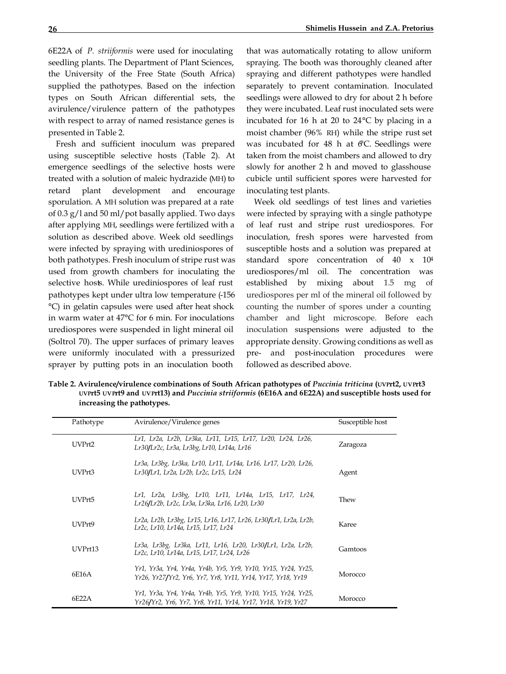6E22A of *P. striiformis* were used for inoculating seedling plants. The Department of Plant Sciences, the University of the Free State (South Africa) supplied the pathotypes. Based on the infection types on South African differential sets, the avirulence/virulence pattern of the pathotypes with respect to array of named resistance genes is presented in Table 2.

Fresh and sufficient inoculum was prepared using susceptible selective hosts (Table 2). At emergence seedlings of the selective hosts were treated with a solution of maleic hydrazide (MH) to retard plant development and encourage sporulation. A MH solution was prepared at a rate of 0.3 g/l and 50 ml/pot basally applied. Two days after applying MH, seedlings were fertilized with a solution as described above. Week old seedlings were infected by spraying with urediniospores of both pathotypes. Fresh inoculum of stripe rust was used from growth chambers for inoculating the selective hosts. While urediniospores of leaf rust pathotypes kept under ultra low temperature (-156 °C) in gelatin capsules were used after heat shock in warm water at 47°C for 6 min. For inoculations urediospores were suspended in light mineral oil (Soltrol 70). The upper surfaces of primary leaves were uniformly inoculated with a pressurized sprayer by putting pots in an inoculation booth

that was automatically rotating to allow uniform spraying. The booth was thoroughly cleaned after spraying and different pathotypes were handled separately to prevent contamination. Inoculated seedlings were allowed to dry for about 2 h before they were incubated. Leaf rust inoculated sets were incubated for 16 h at 20 to 24°C by placing in a moist chamber (96% RH) while the stripe rust set was incubated for  $48$  h at  $6C$ . Seedlings were taken from the moist chambers and allowed to dry slowly for another 2 h and moved to glasshouse cubicle until sufficient spores were harvested for inoculating test plants.

Week old seedlings of test lines and varieties were infected by spraying with a single pathotype of leaf rust and stripe rust urediospores. For inoculation, fresh spores were harvested from susceptible hosts and a solution was prepared at standard spore concentration of 40 x 10<sup>4</sup> urediospores/ml oil. The concentration was established by mixing about 1.5 mg of urediospores per ml of the mineral oil followed by counting the number of spores under a counting chamber and light microscope. Before each inoculation suspensions were adjusted to the appropriate density. Growing conditions as well as pre- and post-inoculation procedures were followed as described above.

**Table 2. Avirulence/virulence combinations of South African pathotypes of** *Puccinia triticina* **(UVPrt2, UVPrt3 UVPrt5 UVPrt9 and UVPrt13) and** *Puccinia striiformis* **(6E16A and 6E22A) and susceptible hosts used for increasing the pathotypes.**

| Pathotype | Avirulence/Virulence genes                                                                                                   | Susceptible host |
|-----------|------------------------------------------------------------------------------------------------------------------------------|------------------|
| UVPrt2    | Lr1, Lr2a, Lr2b, Lr3ka, Lr11, Lr15, Lr17, Lr20, Lr24, Lr26,<br>Lr30/Lr2c, Lr3a, Lr3bg, Lr10, Lr14a, Lr16                     | Zaragoza         |
| UVPrt3    | Lr3a, Lr3bg, Lr3ka, Lr10, Lr11, Lr14a, Lr16, Lr17, Lr20, Lr26,<br>Lr30/Lr1, Lr2a, Lr2b, Lr2c, Lr15, Lr24                     | Agent            |
| UVPrt5    | Lr1, Lr2a, Lr3bg, Lr10, Lr11, Lr14a, Lr15, Lr17, Lr24,<br>Lr26/Lr2b, Lr2c, Lr3a, Lr3ka, Lr16, Lr20, Lr30                     | Thew             |
| UVPrt9    | Lr2a, Lr2b, Lr3bg, Lr15, Lr16, Lr17, Lr26, Lr30/Lr1, Lr2a, Lr2b,<br>Lr2c, Lr10, Lr14a, Lr15, Lr17, Lr24                      | Karee            |
| UVPrt13   | Lr3a, Lr3bg, Lr3ka, Lr11, Lr16, Lr20, Lr30/Lr1, Lr2a, Lr2b,<br>Lr2c, Lr10, Lr14a, Lr15, Lr17, Lr24, Lr26                     | Gamtoos          |
| 6E16A     | Yr1, Yr3a, Yr4, Yr4a, Yr4b, Yr5, Yr9, Yr10, Yr15, Yr24, Yr25,<br>Yr26, Yr27/Yr2, Yr6, Yr7, Yr8, Yr11, Yr14, Yr17, Yr18, Yr19 | Morocco          |
| 6E22A     | Yr1, Yr3a, Yr4, Yr4a, Yr4b, Yr5, Yr9, Yr10, Yr15, Yr24, Yr25,<br>Yr26/Yr2, Yr6, Yr7, Yr8, Yr11, Yr14, Yr17, Yr18, Yr19, Yr27 | Morocco          |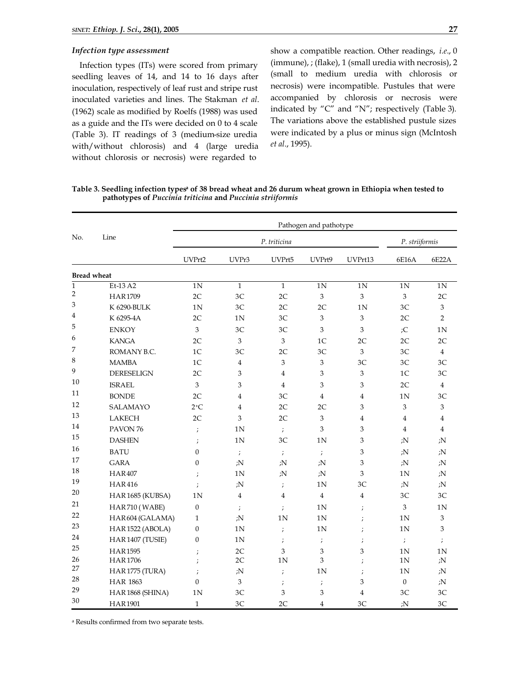#### *Infection type assessment*

Infection types (ITs) were scored from primary seedling leaves of 14, and 14 to 16 days after inoculation, respectively of leaf rust and stripe rust inoculated varieties and lines. The Stakman *et al*. (1962) scale as modified by Roelfs (1988) was used as a guide and the ITs were decided on 0 to 4 scale (Table 3). IT readings of 3 (medium-size uredia with/without chlorosis) and 4 (large uredia without chlorosis or necrosis) were regarded to

show a compatible reaction. Other readings, *i.e*., 0 (immune), ; (flake), 1 (small uredia with necrosis), 2 (small to medium uredia with chlorosis or necrosis) were incompatible. Pustules that were accompanied by chlorosis or necrosis were indicated by "C" and "N"; respectively (Table 3). The variations above the established pustule sizes were indicated by a plus or minus sign (McIntosh *et al*., 1995).

**Table 3. Seedling infection typesa of 38 bread wheat and 26 durum wheat grown in Ethiopia when tested to pathotypes of** *Puccinia triticina* **and** *Puccinia striiformis*

| No.            | Line                | Pathogen and pathotype |                |                  |                  |                |                  |                |  |
|----------------|---------------------|------------------------|----------------|------------------|------------------|----------------|------------------|----------------|--|
|                |                     | P. triticina           |                |                  |                  |                |                  | P. striiformis |  |
|                |                     | UVPrt2                 | UVPr3          | UVPrt5           | UVPrt9           | UVPrt13        | 6E16A            | 6E22A          |  |
|                | <b>Bread wheat</b>  |                        |                |                  |                  |                |                  |                |  |
| $\mathbf{1}$   | Et-13 A2            | 1 <sub>N</sub>         | $\mathbf{1}$   | $\mathbf{1}$     | 1N               | 1N             | 1 <sub>N</sub>   | 1N             |  |
| $\overline{2}$ | <b>HAR1709</b>      | 2C                     | 3C             | 2C               | 3                | 3              | 3                | 2C             |  |
| 3              | K 6290-BULK         | 1N                     | 3C             | 2C               | 2C               | 1N             | 3C               | $\mathfrak{Z}$ |  |
| 4              | K 6295-4A           | 2C                     | 1 <sub>N</sub> | 3C               | 3                | 3              | 2C               | $\overline{2}$ |  |
| 5              | <b>ENKOY</b>        | 3                      | 3C             | 3C               | 3                | 3              | ;C               | 1N             |  |
| 6              | <b>KANGA</b>        | 2C                     | 3              | $\mathfrak{Z}$   | 1 <sup>C</sup>   | 2C             | 2C               | 2C             |  |
| 7              | ROMANY B.C.         | 1 <sup>C</sup>         | 3 <sup>C</sup> | 2C               | 3 <sup>C</sup>   | 3              | 3C               | $\overline{4}$ |  |
| 8              | <b>MAMBA</b>        | 1 <sup>C</sup>         | 4              | 3                | 3                | 3C             | 3C               | 3C             |  |
| 9              | <b>DERESELIGN</b>   | 2C                     | 3              | 4                | 3                | 3              | 1 <sup>C</sup>   | 3C             |  |
| 10             | <b>ISRAEL</b>       | 3                      | 3              | $\overline{4}$   | 3                | 3              | 2C               | $\overline{4}$ |  |
| 11             | <b>BONDE</b>        | 2C                     | $\overline{4}$ | 3C               | $\overline{4}$   | $\overline{4}$ | 1 <sub>N</sub>   | 3C             |  |
| 12             | SALAMAYO            | $2+C$                  | $\overline{4}$ | 2C               | 2C               | 3              | $\mathfrak{Z}$   | $\mathfrak{Z}$ |  |
| 13             | LAKECH              | 2C                     | 3              | 2C               | 3                | $\overline{4}$ | $\overline{4}$   | $\overline{4}$ |  |
| 14             | PAVON <sub>76</sub> | $\cdot$                | 1N             | $\ddot{ }$       | 3                | 3              | $\overline{4}$   | $\overline{4}$ |  |
| 15             | <b>DASHEN</b>       | $\cdot$                | 1N             | 3C               | 1N               | 3              | ;N               | :N             |  |
| 16             | <b>BATU</b>         | $\boldsymbol{0}$       | $\cdot$        | $\ddot{ }$       | $\ddot{ }$       | 3              | ;N               | ; $N$          |  |
| 17             | <b>GARA</b>         | $\boldsymbol{0}$       | ;N             | ;N               | ;N               | 3              | ;N               | ; $N$          |  |
| 18             | <b>HAR407</b>       | $\cdot$                | 1 <sub>N</sub> | ;N               | ;N               | 3              | 1 <sub>N</sub>   | ;N             |  |
| 19             | <b>HAR416</b>       | $\cdot$                | ;N             | $\frac{1}{\ell}$ | 1N               | 3C             | ;N               | ;N             |  |
| 20             | HAR1685 (KUBSA)     | 1 <sub>N</sub>         | 4              | $\overline{4}$   | $\overline{4}$   | $\overline{4}$ | 3C               | 3C             |  |
| 21             | HAR710 (WABE)       | $\boldsymbol{0}$       | $\cdot$        | $\cdot$          | 1N               | $\cdot$        | 3                | 1N             |  |
| 22             | HAR604 (GALAMA)     | $\mathbf{1}$           | ;N             | 1N               | 1N               | $\cdot$        | 1 <sup>N</sup>   | 3              |  |
| 23             | HAR1522 (ABOLA)     | 0                      | 1 <sub>N</sub> | $\cdot$          | 1 <sub>N</sub>   | $\cdot$        | 1 <sub>N</sub>   | 3              |  |
| 24             | HAR1407 (TUSIE)     | $\boldsymbol{0}$       | 1N             | $\cdot$          | $\cdot$          | $\cdot$        | $\cdot$          | $\ddot{ }$     |  |
| 25             | <b>HAR1595</b>      | ;                      | 2C             | 3                | 3                | 3              | 1 <sub>N</sub>   | 1N             |  |
| 26             | <b>HAR1706</b>      |                        | 2C             | 1N               | 3                | $\cdot$        | 1 <sub>N</sub>   | ;N             |  |
| 27             | HAR1775 (TURA)      | $\cdot$                | ;N             | $\cdot$          | 1 <sub>N</sub>   | $\cdot$        | 1 <sub>N</sub>   | ; $N$          |  |
| 28             | <b>HAR 1863</b>     | $\mathbf{0}$           | 3              | $\cdot$          | $\boldsymbol{,}$ | 3              | $\boldsymbol{0}$ | ;N             |  |
| 29             | HAR1868 (SHINA)     | 1N                     | 3C             | 3                | 3                | $\overline{4}$ | 3C               | 3C             |  |
| 30             | <b>HAR1901</b>      | $\mathbf{1}$           | 3C             | 2C               | $\overline{4}$   | 3C             | ;N               | 3C             |  |

a Results confirmed from two separate tests.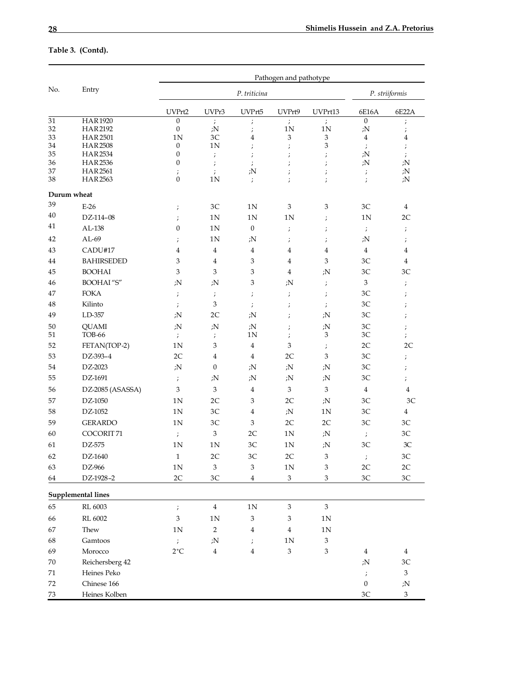# **Table 3. (Contd).**

|             | Entry                            | Pathogen and pathotype                                          |                                                                 |                                                                 |                           |                           |                            |                                                                                                   |  |
|-------------|----------------------------------|-----------------------------------------------------------------|-----------------------------------------------------------------|-----------------------------------------------------------------|---------------------------|---------------------------|----------------------------|---------------------------------------------------------------------------------------------------|--|
| No.         |                                  |                                                                 |                                                                 | P. striiformis                                                  |                           |                           |                            |                                                                                                   |  |
|             |                                  | UVPrt2                                                          | UVPr3                                                           | UVPrt5                                                          | UVPrt9                    | UVPrt13                   | 6E16A                      | 6E22A                                                                                             |  |
| 31          | <b>HAR1920</b>                   | $\boldsymbol{0}$                                                | $\cdot$                                                         | $\boldsymbol{\dot{}}$                                           | $\ddot{ }$                | $\cdot$                   | $\boldsymbol{0}$           | $\ddot{ }$                                                                                        |  |
| 32<br>33    | <b>HAR2192</b><br><b>HAR2501</b> | $\boldsymbol{0}$<br>1 <sub>N</sub>                              | ; $N$<br>3C                                                     | $\cdot$                                                         | 1N                        | 1 <sub>N</sub>            | ;N                         | ;                                                                                                 |  |
| 34          | <b>HAR2508</b>                   | $\mathbf{0}$                                                    | 1 <sub>N</sub>                                                  | 4<br>$\cdot$                                                    | 3<br>$\cdot$              | 3<br>3                    | 4<br>$\cdot$               | 4<br>$\ddot{ }$                                                                                   |  |
| 35          | <b>HAR2534</b>                   | $\boldsymbol{0}$                                                | $\cdot$                                                         | $\cdot$                                                         | ;                         | ;                         | ; $N$                      | $\ddot{ }$                                                                                        |  |
| 36          | <b>HAR2536</b>                   | $\boldsymbol{0}$                                                | $\cdot$                                                         | $\cdot$                                                         | $\cdot$                   | $\cdot$                   | ;N                         | ; $N$                                                                                             |  |
| 37          | <b>HAR2561</b>                   | $\cdot$                                                         | $\ddot{ }$                                                      | ;N                                                              | $\cdot$                   | ;                         | $\cdot$                    | ;N                                                                                                |  |
| 38          | <b>HAR2563</b>                   | $\boldsymbol{0}$                                                | 1 <sub>N</sub>                                                  | $\ddot{ }$                                                      | ;                         | $\cdot$                   | $\ddot{ }$                 | ; $N$                                                                                             |  |
| Durum wheat |                                  |                                                                 |                                                                 |                                                                 |                           |                           |                            |                                                                                                   |  |
| 39          | $E-26$                           | $\cdot$                                                         | 3C                                                              | 1 <sup>N</sup>                                                  | 3                         | 3                         | 3C                         | 4                                                                                                 |  |
| 40          | DZ-114-08                        | $\cdot$                                                         | 1 <sub>N</sub>                                                  | 1 <sub>N</sub>                                                  | 1 <sub>N</sub>            | $\cdot$                   | 1 <sub>N</sub>             | 2C                                                                                                |  |
| 41          | AL-138                           | $\boldsymbol{0}$                                                | 1 <sub>N</sub>                                                  | $\boldsymbol{0}$                                                | $\cdot$                   | $\cdot$                   | $\ddot{ }$                 | $\ddot{ }$                                                                                        |  |
| 42          | $AL-69$                          | $\cdot$                                                         | 1 <sub>N</sub>                                                  | ;N                                                              | $\cdot$                   | ;                         | ; $N$                      | $\ddot{ }$                                                                                        |  |
| 43          | CADU#17                          | $\overline{4}$                                                  | $\overline{4}$                                                  | 4                                                               | $\overline{4}$            | $\overline{4}$            | $\overline{4}$             | 4                                                                                                 |  |
| 44          | <b>BAHIRSEDED</b>                | 3                                                               | 4                                                               | 3                                                               | $\overline{4}$            | 3                         | 3C                         | 4                                                                                                 |  |
| 45          | <b>BOOHAI</b>                    | 3                                                               | 3                                                               | 3                                                               | $\overline{4}$            | ;N                        | 3C                         | 3C                                                                                                |  |
| 46          | <b>BOOHAI</b> "S"                | ;N                                                              | ; $N$                                                           | $\ensuremath{\mathbf{3}}$                                       | ;N                        | ;                         | 3                          | $\boldsymbol{\cdot}$                                                                              |  |
| 47          | <b>FOKA</b>                      | $\cdot$                                                         | ;<br>$% \left( \left\langle \cdot ,\cdot \right\rangle \right)$ | ;<br>$% \left( \left\langle \cdot ,\cdot \right\rangle \right)$ | ;                         | $\cdot$                   | 3C                         | ; $% \left( \sum_{i=1}^{N} \delta _{i}^{i}\delta _{i}^{i}\right) =\delta _{i}^{+}\delta _{i}^{+}$ |  |
| 48          | Kilinto                          | ;<br>$% \left( \left\langle \cdot ,\cdot \right\rangle \right)$ | 3                                                               | ;<br>$% \left( \left\langle \cdot ,\cdot \right\rangle \right)$ | $\cdot$                   | $\cdot$                   | 3C                         | $\boldsymbol{\cdot}$                                                                              |  |
| 49          | LD-357                           | ;N                                                              | 2C                                                              | ;N                                                              | $\cdot$                   | ;N                        | 3C                         | $\cdot$                                                                                           |  |
| 50          | <b>QUAMI</b>                     | ;N                                                              | ; $N$                                                           | ; $N$                                                           |                           | ;N                        | 3C                         |                                                                                                   |  |
| 51          | TOB-66                           | $\ddot{ }$                                                      | $\ddot{ }$                                                      | 1 <sub>N</sub>                                                  | $\cdot$<br>$\cdot$        | 3                         | 3C                         | $\ddot{ }$<br>$\ddot{ }$                                                                          |  |
| 52          | FETAN(TOP-2)                     | 1 <sub>N</sub>                                                  | 3                                                               | 4                                                               | 3                         | $\cdot$                   | 2C                         | 2C                                                                                                |  |
| 53          | DZ-393-4                         | 2C                                                              | 4                                                               | 4                                                               | 2C                        | 3                         | 3C                         | ; $% \left( \sum_{i=1}^{N} \delta _{i}^{i}\delta _{i}^{i}\right) =\delta _{i}^{+}\delta _{i}^{+}$ |  |
| 54          | DZ-2023                          | ;N                                                              | $\mathbf{0}$                                                    | ; $N$                                                           | ; $N$                     | ;N                        | 3C                         | $\ddot{ }$                                                                                        |  |
| 55          | DZ-1691                          | $\ddot{ }$                                                      | ;N                                                              | ; $N$                                                           | ; $N$                     | ; $N$                     | 3C                         | $\ddot{ }$                                                                                        |  |
| 56          | DZ-2085 (ASASSA)                 | 3                                                               | 3                                                               | 4                                                               | 3                         | 3                         | $\overline{4}$             | 4                                                                                                 |  |
|             | DZ-1050                          |                                                                 | 2C                                                              | 3                                                               | 2C                        |                           | 3C                         | 3C                                                                                                |  |
| 57          |                                  | 1 <sub>N</sub>                                                  |                                                                 |                                                                 |                           | ;N                        |                            |                                                                                                   |  |
| 58          | DZ-1052                          | 1 <sub>N</sub>                                                  | 3C                                                              | 4                                                               | ; $N$                     | 1 <sub>N</sub>            | 3C                         | 4                                                                                                 |  |
| 59          | <b>GERARDO</b>                   | 1N                                                              | 3C                                                              | $\ensuremath{\mathbf{3}}$                                       | 2C                        | 2C                        | 3C                         | 3C                                                                                                |  |
| 60          | COCORIT <sub>71</sub>            | $\cdot$                                                         | 3                                                               | 2C                                                              | 1 <sub>N</sub>            | ; $N$                     | $\cdot$                    | 3C                                                                                                |  |
| 61          | DZ-575                           | 1 <sub>N</sub>                                                  | 1 <sub>N</sub>                                                  | 3C                                                              | 1 <sub>N</sub>            | ;N                        | 3C                         | 3C                                                                                                |  |
| 62          | DZ-1640                          | $\,1\,$                                                         | $2\mathrm{C}$                                                   | $3\mathrm{C}$                                                   | $2\mathrm{C}$             | 3                         | $\ddot{ }$                 | $3\mathrm{C}$                                                                                     |  |
| 63          | DZ-966                           | 1 <sub>N</sub>                                                  | $\,3$                                                           | $\mathfrak{Z}$                                                  | $1\mathrm{N}$             | 3                         | $2\mathrm{C}$              | $2\mathrm{C}$                                                                                     |  |
| 64          | DZ-1928-2                        | 2C                                                              | 3C                                                              | $\overline{4}$                                                  | $\,3$                     | 3                         | 3C                         | 3C                                                                                                |  |
|             | <b>Supplemental lines</b>        |                                                                 |                                                                 |                                                                 |                           |                           |                            |                                                                                                   |  |
| 65          | RL 6003                          | $\ddot{ }$                                                      | $\bf 4$                                                         | $1\mathrm{N}$                                                   | $\mathfrak{Z}$            | $\ensuremath{\mathbf{3}}$ |                            |                                                                                                   |  |
| 66          | RL 6002                          | $\mathfrak{Z}$                                                  | 1 <sub>N</sub>                                                  | $\mathfrak{Z}$                                                  | 3                         | 1 <sub>N</sub>            |                            |                                                                                                   |  |
| 67          | Thew                             | 1 <sub>N</sub>                                                  | $\sqrt{2}$                                                      | $\overline{4}$                                                  | $\overline{4}$            | 1 <sub>N</sub>            |                            |                                                                                                   |  |
| 68          | Gamtoos                          | $\ddot{ }$                                                      | ;N                                                              | $\cdot$                                                         | $1N$                      | $\ensuremath{\mathbf{3}}$ |                            |                                                                                                   |  |
| 69          | Morocco                          | $2$ ^{\circ}C                                                   | $\boldsymbol{4}$                                                | $\overline{4}$                                                  | $\ensuremath{\mathbf{3}}$ | $\ensuremath{\mathbf{3}}$ | $\overline{4}$             | $\overline{4}$                                                                                    |  |
| 70          | Reichersberg 42                  |                                                                 |                                                                 |                                                                 |                           |                           | ;N                         | $3\mathrm{C}$                                                                                     |  |
| 71          | Heines Peko                      |                                                                 |                                                                 |                                                                 |                           |                           |                            | 3                                                                                                 |  |
| 72          | Chinese 166                      |                                                                 |                                                                 |                                                                 |                           |                           | $\ddot{ }$<br>$\mathbf{0}$ | ;N                                                                                                |  |
|             |                                  |                                                                 |                                                                 |                                                                 |                           |                           |                            |                                                                                                   |  |
| 73          | Heines Kolben                    |                                                                 |                                                                 |                                                                 |                           |                           | 3C                         | 3                                                                                                 |  |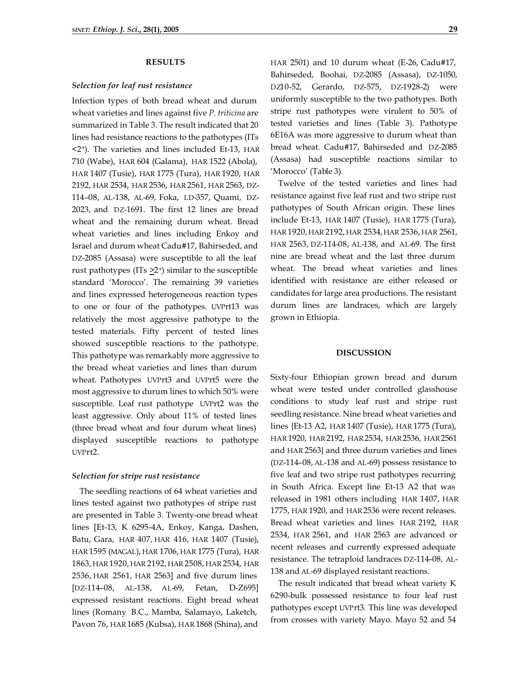## **RESULTS**

# *Selection for leaf rust resistance*

Infection types of both bread wheat and durum wheat varieties and lines against five *P. triticina* are summarized in Table 3. The result indicated that 20 lines had resistance reactions to the pathotypes (ITs <2+). The varieties and lines included Et-13, HAR 710 (Wabe), HAR 604 (Galama), HAR 1522 (Abola), HAR 1407 (Tusie), HAR 1775 (Tura), HAR 1920, HAR 2192, HAR 2534, HAR 2536, HAR 2561, HAR 2563, DZ-114–08, AL-138, AL-69, Foka, LD-357, Quami, DZ-2023, and DZ-1691. The first 12 lines are bread wheat and the remaining durum wheat. Bread wheat varieties and lines including Enkoy and Israel and durum wheat Cadu#17, Bahirseded, and DZ-2085 (Assasa) were susceptible to all the leaf rust pathotypes ( $ITs > 2^+$ ) similar to the susceptible standard 'Morocco'. The remaining 39 varieties and lines expressed heterogeneous reaction types to one or four of the pathotypes. UVPrt13 was relatively the most aggressive pathotype to the tested materials. Fifty percent of tested lines showed susceptible reactions to the pathotype. This pathotype was remarkably more aggressive to the bread wheat varieties and lines than durum wheat. Pathotypes UVPrt3 and UVPrt5 were the most aggressive to durum lines to which 50% were susceptible. Leaf rust pathotype UVPrt2 was the least aggressive. Only about 11% of tested lines (three bread wheat and four durum wheat lines) displayed susceptible reactions to pathotype UVPrt2.

#### *Selection for stripe rust resistance*

The seedling reactions of 64 wheat varieties and lines tested against two pathotypes of stripe rust are presented in Table 3. Twenty-one bread wheat lines [Et-13, K 6295-4A, Enkoy, Kanga, Dashen, Batu, Gara, HAR 407, HAR 416, HAR 1407 (Tusie), HAR 1595 (MAGAL), HAR 1706, HAR 1775 (Tura), HAR 1863, HAR 1920, HAR 2192, HAR 2508, HAR 2534, HAR 2536, HAR 2561, HAR 2563] and five durum lines [DZ-114–08, AL-138, AL-69, Fetan, D-Z695] expressed resistant reactions. Eight bread wheat lines (Romany B.C., Mamba, Salamayo, Laketch, Pavon 76, HAR 1685 (Kubsa), HAR 1868 (Shina), and

HAR 2501) and 10 durum wheat (E-26, Cadu#17, Bahirseded, Boohai, DZ-2085 (Assasa), DZ-1050, DZ10-52, Gerardo, DZ-575, DZ-1928-2) were uniformly susceptible to the two pathotypes. Both stripe rust pathotypes were virulent to 50% of tested varieties and lines (Table 3). Pathotype 6E16A was more aggressive to durum wheat than bread wheat. Cadu#17, Bahirseded and DZ-2085 (Assasa) had susceptible reactions similar to 'Morocco' (Table 3).

Twelve of the tested varieties and lines had resistance against five leaf rust and two stripe rust pathotypes of South African origin. These lines include Et-13, HAR 1407 (Tusie), HAR 1775 (Tura), HAR 1920, HAR 2192, HAR 2534, HAR 2536, HAR 2561, HAR 2563, DZ-114-08, AL-138, and AL-69. The first nine are bread wheat and the last three durum wheat. The bread wheat varieties and lines identified with resistance are either released or candidates for large area productions. The resistant durum lines are landraces, which are largely grown in Ethiopia.

# **DISCUSSION**

Sixty-four Ethiopian grown bread and durum wheat were tested under controlled glasshouse conditions to study leaf rust and stripe rust seedling resistance. Nine bread wheat varieties and lines {Et-13 A2, HAR 1407 (Tusie), HAR 1775 (Tura), HAR 1920, HAR 2192, HAR 2534, HAR 2536, HAR 2561 and HAR 2563} and three durum varieties and lines (DZ-114–08, AL-138 and AL-69) possess resistance to five leaf and two stripe rust pathotypes recurring in South Africa. Except line Et-13 A2 that was released in 1981 others including HAR 1407, HAR 1775, HAR 1920, and HAR 2536 were recent releases. Bread wheat varieties and lines HAR 2192, HAR 2534, HAR 2561, and HAR 2563 are advanced or recent releases and currently expressed adequate resistance. The tetraploid landraces DZ-114–08, AL-138 and AL-69 displayed resistant reactions.

The result indicated that bread wheat variety K 6290-bulk possessed resistance to four leaf rust pathotypes except UVPrt3. This line was developed from crosses with variety Mayo. Mayo 52 and 54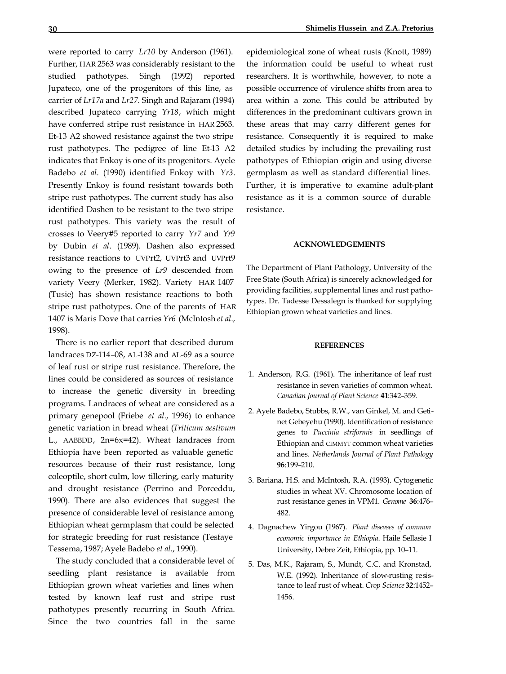were reported to carry *Lr10* by Anderson (1961). Further, HAR 2563 was considerably resistant to the studied pathotypes. Singh (1992) reported Jupateco, one of the progenitors of this line, as carrier of *Lr17a* and *Lr27.* Singh and Rajaram (1994) described Jupateco carrying *Yr18*, which might have conferred stripe rust resistance in HAR 2563. Et-13 A2 showed resistance against the two stripe rust pathotypes. The pedigree of line Et-13 A2 indicates that Enkoy is one of its progenitors. Ayele Badebo *et al*. (1990) identified Enkoy with *Yr3*. Presently Enkoy is found resistant towards both stripe rust pathotypes. The current study has also identified Dashen to be resistant to the two stripe rust pathotypes. This variety was the result of crosses to Veery#5 reported to carry *Yr7* and *Yr9* by Dubin *et al*. (1989). Dashen also expressed resistance reactions to UVPrt2, UVPrt3 and UVPrt9 owing to the presence of *Lr9* descended from variety Veery (Merker, 1982). Variety HAR 1407 (Tusie) has shown resistance reactions to both stripe rust pathotypes. One of the parents of HAR 1407 is Maris Dove that carries *Yr6* (McIntosh *et al*., 1998).

There is no earlier report that described durum landraces DZ-114–08, AL-138 and AL-69 as a source of leaf rust or stripe rust resistance. Therefore, the lines could be considered as sources of resistance to increase the genetic diversity in breeding programs. Landraces of wheat are considered as a primary genepool (Friebe *et al*., 1996) to enhance genetic variation in bread wheat (*Triticum aestivum* L., AABBDD, 2n=6x=42). Wheat landraces from Ethiopia have been reported as valuable genetic resources because of their rust resistance, long coleoptile, short culm, low tillering, early maturity and drought resistance (Perrino and Porceddu, 1990). There are also evidences that suggest the presence of considerable level of resistance among Ethiopian wheat germplasm that could be selected for strategic breeding for rust resistance (Tesfaye Tessema, 1987; Ayele Badebo *et al*., 1990).

The study concluded that a considerable level of seedling plant resistance is available from Ethiopian grown wheat varieties and lines when tested by known leaf rust and stripe rust pathotypes presently recurring in South Africa. Since the two countries fall in the same

epidemiological zone of wheat rusts (Knott, 1989) the information could be useful to wheat rust researchers. It is worthwhile, however, to note a possible occurrence of virulence shifts from area to area within a zone. This could be attributed by differences in the predominant cultivars grown in these areas that may carry different genes for resistance. Consequently it is required to make detailed studies by including the prevailing rust pathotypes of Ethiopian origin and using diverse germplasm as well as standard differential lines. Further, it is imperative to examine adult-plant resistance as it is a common source of durable resistance.

#### **ACKNOWLEDGEMENTS**

The Department of Plant Pathology, University of the Free State (South Africa) is sincerely acknowledged for providing facilities, supplemental lines and rust pathotypes. Dr. Tadesse Dessalegn is thanked for supplying Ethiopian grown wheat varieties and lines.

#### **REFERENCES**

- 1. Anderson, R.G. (1961). The inheritance of leaf rust resistance in seven varieties of common wheat. *Canadian Journal of Plant Science* **41**:342–359.
- 2. Ayele Badebo, Stubbs, R.W., van Ginkel, M. and Getinet Gebeyehu (1990). Identification of resistance genes to *Puccinia striformis* in seedlings of Ethiopian and CIMMYT common wheat varieties and lines. *Netherlands Journal of Plant Pathology* **96**:199–210.
- 3. Bariana, H.S. and McIntosh, R.A. (1993). Cytogenetic studies in wheat XV. Chromosome location of rust resistance genes in VPM1. *Genome* **36**:476– 482.
- 4. Dagnachew Yirgou (1967). *Plant diseases of common economic importance in Ethiopia*. Haile Sellasie I University, Debre Zeit, Ethiopia, pp. 10–11.
- 5. Das, M.K., Rajaram, S., Mundt, C.C. and Kronstad, W.E. (1992). Inheritance of slow-rusting resistance to leaf rust of wheat. *Crop Science* **32**:1452– 1456.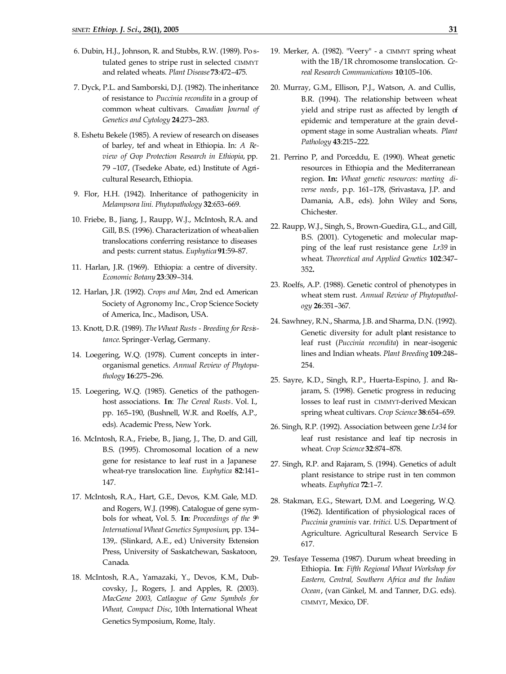- 6. Dubin, H.J., Johnson, R. and Stubbs, R.W. (1989). Po stulated genes to stripe rust in selected CIMMYT and related wheats. *Plant Disease* **73**:472–475.
- 7. Dyck, P.L. and Samborski, D.J. (1982). The inheritance of resistance to *Puccinia recondita* in a group of common wheat cultivars. *Canadian Journal of Genetics and Cytology* **24**:273–283.
- 8. Eshetu Bekele (1985). A review of research on diseases of barley, tef and wheat in Ethiopia. In: *A Review of Crop Protection Research in Ethiopia*, pp. 79 –107, (Tsedeke Abate, ed.) Institute of Agricultural Research, Ethiopia.
- 9. Flor, H.H. (1942). Inheritance of pathogenicity in *Melampsora lini. Phytopathology* **32**:653–669.
- 10. Friebe, B., Jiang, J., Raupp, W.J., McIntosh, R.A. and Gill, B.S. (1996). Characterization of wheat-alien translocations conferring resistance to diseases and pests: current status. *Euphytica* **91**:59–87.
- 11. Harlan, J.R. (1969). Ethiopia: a centre of diversity. *Economic Botany* **23**:309–314.
- 12. Harlan, J.R. (1992). *Crops and Man*, 2nd ed. American Society of Agronomy Inc., Crop Science Society of America, Inc., Madison, USA.
- 13. Knott, D.R. (1989). *The Wheat Rusts - Breeding for Resistance*. Springer-Verlag, Germany.
- 14. Loegering, W.Q. (1978). Current concepts in interorganismal genetics. *Annual Review of Phytopathology* **16**:275–296.
- 15. Loegering, W.Q. (1985). Genetics of the pathogenhost associations. **In**: *The Cereal Rusts*. Vol. I., pp. 165–190, (Bushnell, W.R. and Roelfs, A.P., eds). Academic Press, New York.
- 16. McIntosh, R.A., Friebe, B., Jiang, J., The, D. and Gill, B.S. (1995). Chromosomal location of a new gene for resistance to leaf rust in a Japanese wheat-rye translocation line. *Euphytica* **82**:141– 147.
- 17. McIntosh, R.A., Hart, G.E., Devos, K.M. Gale, M.D. and Rogers, W.J. (1998). Catalogue of gene symbols for wheat, Vol. 5. **In**: *Proceedings of the 9th International Wheat Genetics Symposium*, pp. 134– 139,. (Slinkard, A.E., ed.) University Extension Press, University of Saskatchewan, Saskatoon, Canada.
- 18. McIntosh, R.A., Yamazaki, Y., Devos, K.M., Dubcovsky, J., Rogers, J. and Apples, R. (2003). *MacGene 2003, Catlaogue of Gene Symbols for Wheat, Compact Disc*, 10th International Wheat Genetics Symposium, Rome, Italy.
- 19. Merker, A. (1982). "Veery" a CIMMYT spring wheat with the 1B/1R chromosome translocation. *Cereal Research Communications* **10**:105–106.
- 20. Murray, G.M., Ellison, P.J., Watson, A. and Cullis, B.R. (1994). The relationship between wheat yield and stripe rust as affected by length of epidemic and temperature at the grain development stage in some Australian wheats. *Plant Pathology* **43**:215–222.
- 21. Perrino P, and Porceddu, E. (1990). Wheat genetic resources in Ethiopia and the Mediterranean region. **In:** *Wheat genetic resources: meeting diverse needs*, p.p. 161–178, (Srivastava, J.P. and Damania, A.B., eds). John Wiley and Sons, Chichester.
- 22. Raupp, W.J., Singh, S., Brown-Guedira, G.L., and Gill, B.S. (2001). Cytogenetic and molecular mapping of the leaf rust resistance gene *Lr39* in wheat. *Theoretical and Applied Genetics* **102**:347– 352**.**
- 23. Roelfs, A.P. (1988). Genetic control of phenotypes in wheat stem rust. *Annual Review of Phytopathology* **26**:351–367.
- 24. Sawhney, R.N., Sharma, J.B. and Sharma, D.N. (1992). Genetic diversity for adult plant resistance to leaf rust (*Puccinia recondita*) in near-isogenic lines and Indian wheats. *Plant Breeding* **109**:248– 254.
- 25. Sayre, K.D., Singh, R.P., Huerta-Espino, J. and Rajaram, S. (1998). Genetic progress in reducing losses to leaf rust in CIMMYT-derived Mexican spring wheat cultivars. *Crop Science* **38**:654–659.
- 26. Singh, R.P. (1992). Association between gene *Lr34* for leaf rust resistance and leaf tip necrosis in wheat. *Crop Science* **32**:874–878.
- 27. Singh, R.P. and Rajaram, S. (1994). Genetics of adult plant resistance to stripe rust in ten common wheats. *Euphytica* **72**:1–7.
- 28. Stakman, E.G., Stewart, D.M. and Loegering, W.Q. (1962). Identification of physiological races of *Puccinia graminis* var. *tritici.* U.S. Department of Agriculture. Agricultural Research Service E-617.
- 29. Tesfaye Tessema (1987). Durum wheat breeding in Ethiopia. **In**: *Fifth Regional Wheat Workshop for Eastern, Central, Southern Africa and the Indian Ocean*, (van Ginkel, M. and Tanner, D.G. eds). CIMMYT, Mexico, DF.